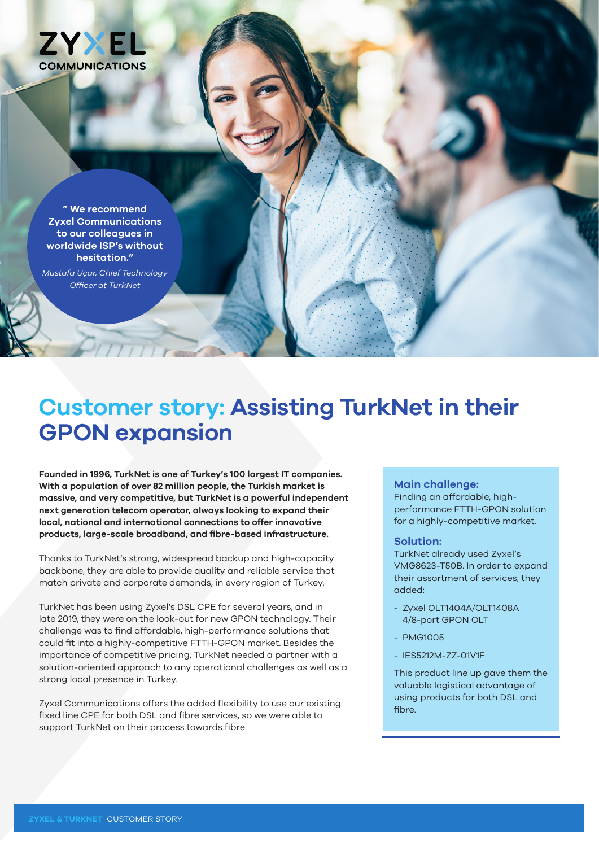

**" We recommend Zyxel Communications to our colleagues in worldwide ISP's without hesitation."** 

*Mustafa Uçar, Chief Technology Officer at TurkNet*

## **Customer story: Assisting TurkNet in their GPON expansion**

**Founded in 1996, TurkNet is one of Turkey's 100 largest IT companies. With a population of over 82 million people, the Turkish market is massive, and very competitive, but TurkNet is a powerful independent next generation telecom operator, always looking to expand their local, national and international connections to offer innovative products, large-scale broadband, and fibre-based infrastructure.**

Thanks to TurkNet's strong, widespread backup and high-capacity backbone, they are able to provide quality and reliable service that match private and corporate demands, in every region of Turkey.

TurkNet has been using Zyxel's DSL CPE for several years, and in late 2019, they were on the look-out for new GPON technology. Their challenge was to find affordable, high-performance solutions that could fit into a highly-competitive FTTH-GPON market. Besides the importance of competitive pricing, TurkNet needed a partner with a solution-oriented approach to any operational challenges as well as a strong local presence in Turkey.

Zyxel Communications offers the added flexibility to use our existing fixed line CPE for both DSL and fibre services, so we were able to support TurkNet on their process towards fibre.

## **Main challenge:**

Finding an affordable, highperformance FTTH-GPON solution for a highly-competitive market.

## **Solution:**

TurkNet already used Zyxel's VMG8623-T50B. In order to expand their assortment of services, they added:

- Zyxel OLT1404A/OLT1408A 4/8-port GPON OLT
- PMG1005
- IES5212M-ZZ-01V1F

This product line up gave them the valuable logistical advantage of using products for both DSL and fibre.